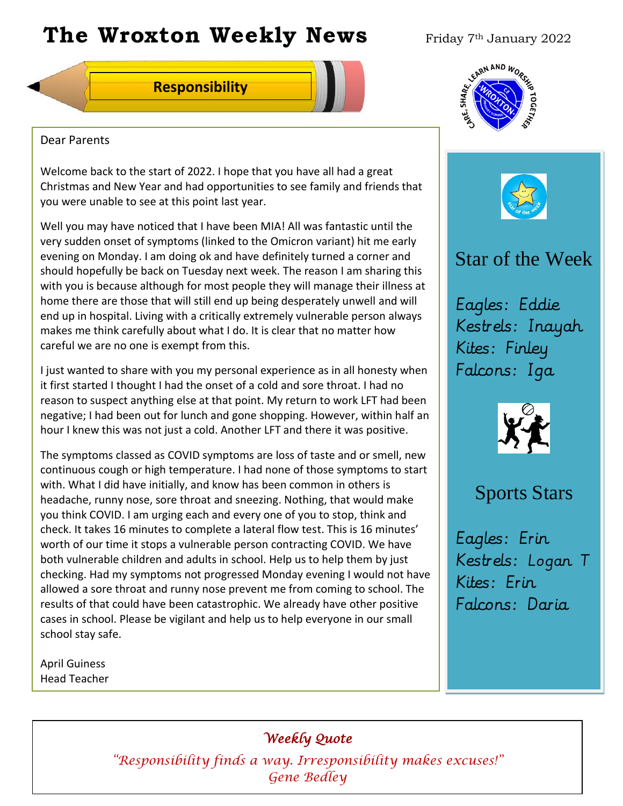# **The Wroxton Weekly News** Friday 7th January 2022



#### Dear Parents

Welcome back to the start of 2022. I hope that you have all had a great Christmas and New Year and had opportunities to see family and friends that you were unable to see at this point last year.

Well you may have noticed that I have been MIA! All was fantastic until the very sudden onset of symptoms (linked to the Omicron variant) hit me early evening on Monday. I am doing ok and have definitely turned a corner and should hopefully be back on Tuesday next week. The reason I am sharing this with you is because although for most people they will manage their illness at home there are those that will still end up being desperately unwell and will end up in hospital. Living with a critically extremely vulnerable person always makes me think carefully about what I do. It is clear that no matter how careful we are no one is exempt from this.

I just wanted to share with you my personal experience as in all honesty when it first started I thought I had the onset of a cold and sore throat. I had no reason to suspect anything else at that point. My return to work LFT had been negative; I had been out for lunch and gone shopping. However, within half an hour I knew this was not just a cold. Another LFT and there it was positive.

The symptoms classed as COVID symptoms are loss of taste and or smell, new continuous cough or high temperature. I had none of those symptoms to start with. What I did have initially, and know has been common in others is headache, runny nose, sore throat and sneezing. Nothing, that would make you think COVID. I am urging each and every one of you to stop, think and check. It takes 16 minutes to complete a lateral flow test. This is 16 minutes' worth of our time it stops a vulnerable person contracting COVID. We have both vulnerable children and adults in school. Help us to help them by just checking. Had my symptoms not progressed Monday evening I would not have allowed a sore throat and runny nose prevent me from coming to school. The results of that could have been catastrophic. We already have other positive cases in school. Please be vigilant and help us to help everyone in our small school stay safe. **Example 12**<br> **Example 12**<br> **Example 12**<br> **Example 12**<br> **Example 12**<br> **Example 12**<br> **Example 12**<br> **Example 12**<br> **Example 12**<br> **Example 12**<br> **Example 12**<br> **Example 12**<br> **Example 12**<br> **Example 12**<br> **Example 12**<br> **Example 12** 

April Guiness Head Teacher

### *Weekly Quote*

**Oct 30 Nov 4 Dec 1 Jan 1** *"Responsibility finds a way. Irresponsibility makes excuses!"*  **Gene Bedley** 





# Star of the Week

Eagles: Eddie Kestrels: Inayah Kites: Finley Falcons: Iga



## Sports Stars

Eagles: Erin Kestrels: Logan T Kites: Erin Falcons: Daria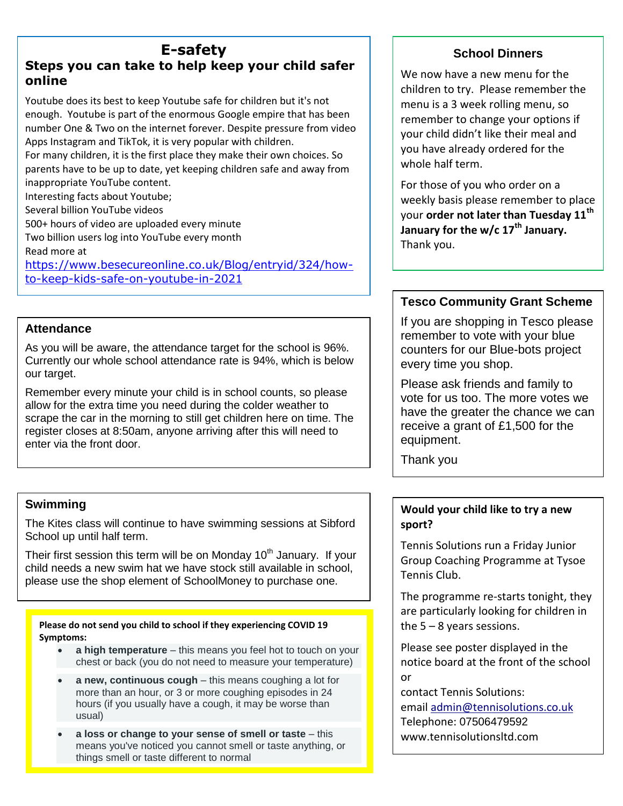### **E-safety Steps you can take to help keep your child safer online**

Youtube does its best to keep Youtube safe for children but it's not enough. Youtube is part of the enormous Google empire that has been number One & Two on the internet forever. Despite pressure from video Apps Instagram and TikTok, it is very popular with children. For many children, it is the first place they make their own choices. So

parents have to be up to date, yet keeping children safe and away from inappropriate YouTube content.

Interesting facts about Youtube;

Several billion YouTube videos

500+ hours of video are uploaded every minute

Two billion users log into YouTube every month Read more at

[https://www.besecureonline.co.uk/Blog/entryid/324/how](https://www.besecureonline.co.uk/Blog/entryid/324/how-to-keep-kids-safe-on-youtube-in-2021)[to-keep-kids-safe-on-youtube-in-2021](https://www.besecureonline.co.uk/Blog/entryid/324/how-to-keep-kids-safe-on-youtube-in-2021)

### **Attendance**

As you will be aware, the attendance target for the school is 96%. Currently our whole school attendance rate is 94%, which is below our target.

Remember every minute your child is in school counts, so please allow for the extra time you need during the colder weather to scrape the car in the morning to still get children here on time. The register closes at 8:50am, anyone arriving after this will need to enter via the front door.

### **Swimming**

The Kites class will continue to have swimming sessions at Sibford School up until half term.

Their first session this term will be on Monday  $10<sup>th</sup>$  January. If your child needs a new swim hat we have stock still available in school, please use the shop element of SchoolMoney to purchase one.

# **Please do not send you child to school if they experiencing COVID 19**

**Symptoms:**

- **a high temperature** this means you feel hot to touch on your chest or back (you do not need to measure your temperature)
- **a new, continuous cough** this means coughing a lot for more than an hour, or 3 or more coughing episodes in 24 hours (if you usually have a cough, it may be worse than usual)
- **a loss or change to your sense of smell or taste** this means you've noticed you cannot smell or taste anything, or things smell or taste different to normal

### **School Dinners**

We now have a new menu for the children to try. Please remember the menu is a 3 week rolling menu, so remember to change your options if your child didn't like their meal and you have already ordered for the whole half term.

For those of you who order on a weekly basis please remember to place your **order not later than Tuesday 11th January for the w/c 17th January.** Thank you.

### **Tesco Community Grant Scheme**

If you are shopping in Tesco please remember to vote with your blue counters for our Blue-bots project every time you shop.

Please ask friends and family to vote for us too. The more votes we have the greater the chance we can receive a grant of £1,500 for the equipment.

Thank you

### **Would your child like to try a new sport?**

Tennis Solutions run a Friday Junior Group Coaching Programme at Tysoe Tennis Club.

The programme re-starts tonight, they are particularly looking for children in the  $5 - 8$  years sessions.

Please see poster displayed in the notice board at the front of the school or

contact Tennis Solutions: email [admin@tennisolutions.co.uk](mailto:admin@tennisolutions.co.uk) Telephone: 07506479592 www.tennisolutionsltd.com